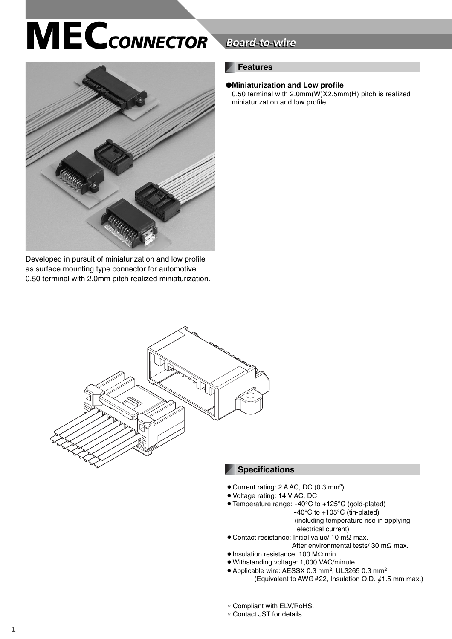

Developed in pursuit of miniaturization and low profile as surface mounting type connector for automotive. 0.50 terminal with 2.0mm pitch realized miniaturization.

## **Board-to-wire**

### **Features**

### ●**Miniaturization and Low profile**

0.50 terminal with 2.0mm(W)X2.5mm(H) pitch is realized miniaturization and low profile.



### **Specifications**

- Current rating: 2 A AC, DC (0.3 mm<sup>2</sup>)
- Voltage rating: 14 V AC, DC
- Temperature range: -40°C to +125°C (gold-plated) -40°C to +105°C (tin-plated) (including temperature rise in applying
	- electrical current)
- $\bullet$  Contact resistance: Initial value/ 10 mΩ max. After environmental tests/ 30 mΩ max.
- Insulation resistance: 100 MΩ min.
- Withstanding voltage: 1,000 VAC/minute
- Applicable wire: AESSX 0.3 mm<sup>2</sup>, UL3265 0.3 mm<sup>2</sup> (Equivalent to AWG #22, Insulation O.D.  $\phi$ 1.5 mm max.)
- ∗ Compliant with ELV/RoHS.
- ∗ Contact JST for details.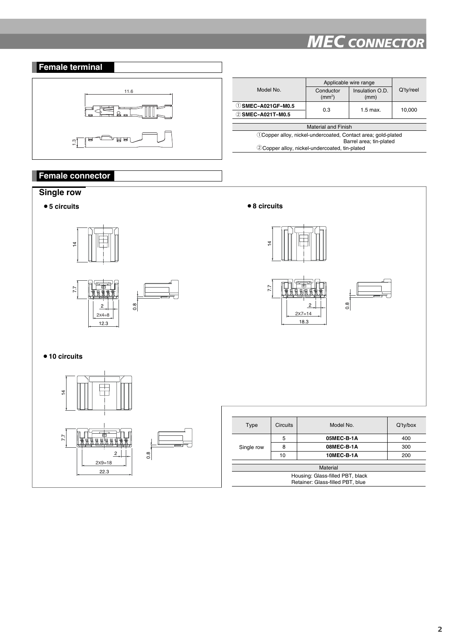

### **Female connector**

### **Single row**





| Type                             | <b>Circuits</b> | Model No.  | $Q'$ ty/box |  |  |  |
|----------------------------------|-----------------|------------|-------------|--|--|--|
| Single row                       | 5               | 05MEC-B-1A | 400         |  |  |  |
|                                  | 8               | 08MEC-B-1A | 300         |  |  |  |
|                                  | 10              | 10MEC-B-1A | 200         |  |  |  |
|                                  |                 |            |             |  |  |  |
| Material                         |                 |            |             |  |  |  |
| Housing: Glass-filled PBT, black |                 |            |             |  |  |  |
| Retainer: Glass-filled PBT, blue |                 |            |             |  |  |  |
|                                  |                 |            |             |  |  |  |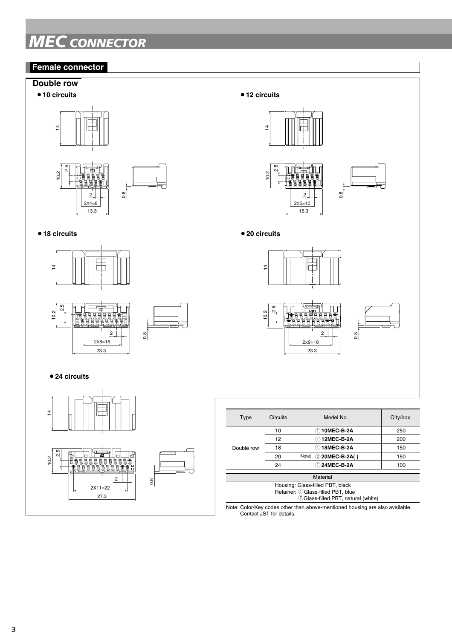### **Female connector**

### **Double row**





### ¡**18 circuits** ¡**20 circuits**







| $\frac{8}{ }$<br>3             |                | $2x5=10$<br>15.3                                                                                                     |            |                         |          |
|--------------------------------|----------------|----------------------------------------------------------------------------------------------------------------------|------------|-------------------------|----------|
|                                |                | ● 20 circuits                                                                                                        |            |                         |          |
|                                |                |                                                                                                                      | $\ddot{4}$ | $\mathbb{I}$            |          |
| $\sqrt{2}$<br>$2x8=16$<br>23.3 | $\frac{8}{10}$ | $2.5$<br><b>JST</b><br>10.2<br>밀<br>밀<br>9<br>侣<br>Έ<br>巴<br>Έ<br>$\sqrt{2}$<br>$0.\overline{8}$<br>$2x9=18$<br>23.3 |            |                         |          |
|                                |                | Type                                                                                                                 | Circuits   | Model No.               | Q'ty/box |
|                                |                |                                                                                                                      | 10         | 10MEC-B-2A              | 250      |
|                                |                |                                                                                                                      | 12         | 12MEC-B-2A              | 200      |
| 무<br>г                         |                | Double row                                                                                                           | 18         | 18MEC-B-2A              | 150      |
|                                |                |                                                                                                                      | 20         | 2 20MEC-B-2A()<br>Note) | 150      |
|                                |                |                                                                                                                      | 24         | 124MEC-B-2A             | 100      |
|                                |                | Material                                                                                                             |            |                         |          |
| $\overline{c}$<br>$X11 = 22$   | $\frac{8}{2}$  | Housing: Glass-filled PBT, black<br>Retainer: 1 Glass-filled PBT, blue                                               |            |                         |          |

 $\frac{8}{2}$ 

2

**JST**

14

10.2 م.<br>م

Note: Color/Key codes other than above-mentioned housing are also available. Contact JST for details.

2 Glass-filled PBT, natural (white)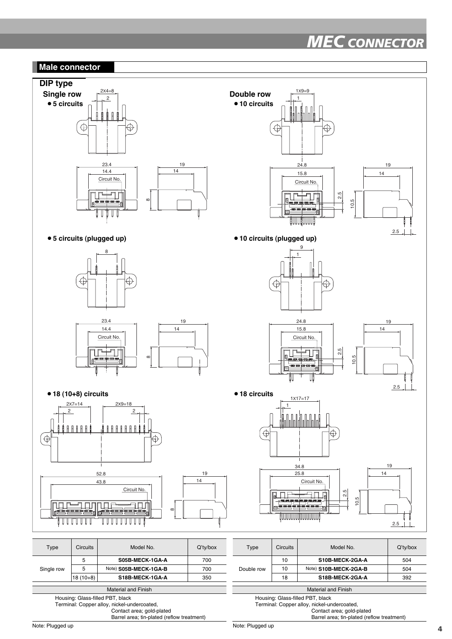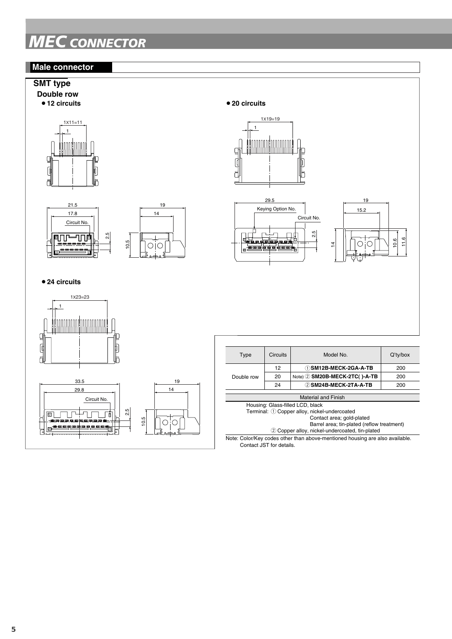

Note: Color/Key codes other than above-mentioned housing are also available. Contact JST for details.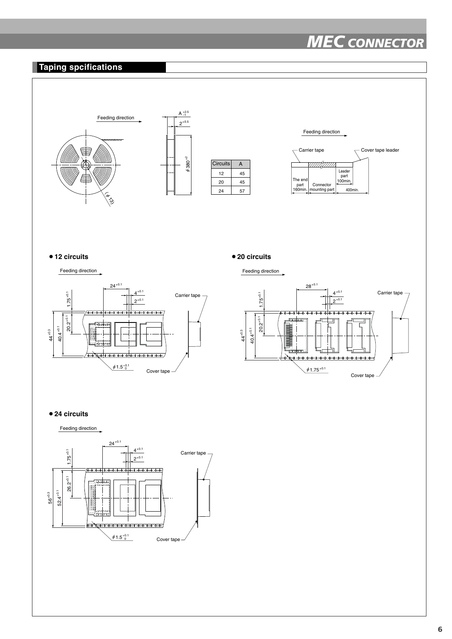



**6**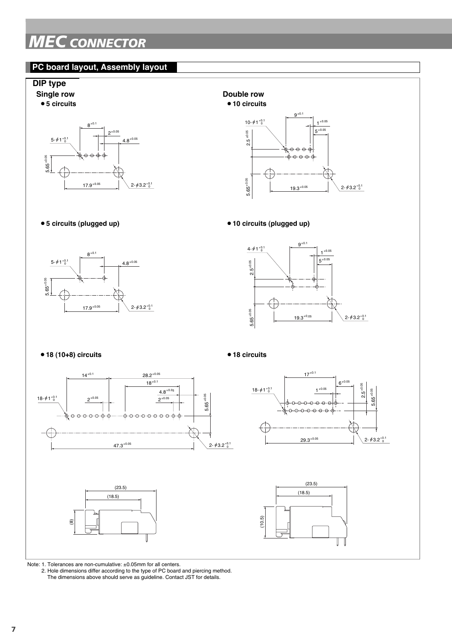### **PC board layout, Assembly layout**



Note: 1. Tolerances are non-cumulative: ±0.05mm for all centers.

2. Hole dimensions differ according to the type of PC board and piercing method.

The dimensions above should serve as guideline. Contact JST for details.